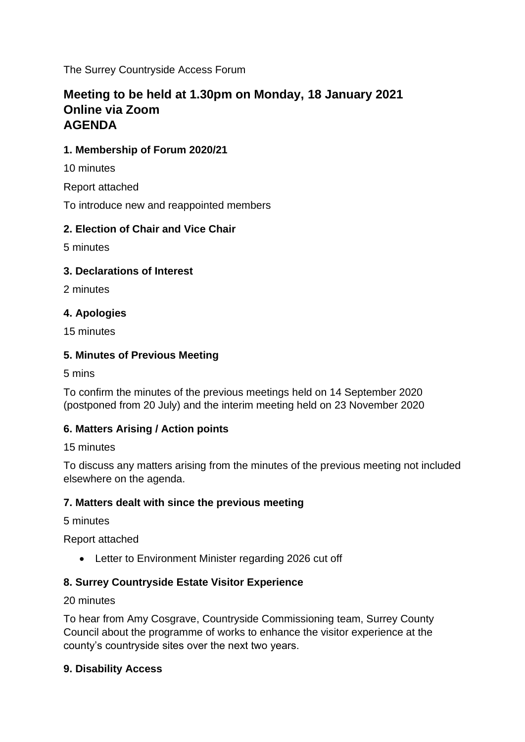The Surrey Countryside Access Forum

# **Meeting to be held at 1.30pm on Monday, 18 January 2021 Online via Zoom AGENDA**

## **1. Membership of Forum 2020/21**

10 minutes

Report attached

To introduce new and reappointed members

## **2. Election of Chair and Vice Chair**

5 minutes

### **3. Declarations of Interest**

2 minutes

## **4. Apologies**

15 minutes

## **5. Minutes of Previous Meeting**

5 mins

To confirm the minutes of the previous meetings held on 14 September 2020 (postponed from 20 July) and the interim meeting held on 23 November 2020

## **6. Matters Arising / Action points**

15 minutes

To discuss any matters arising from the minutes of the previous meeting not included elsewhere on the agenda.

### **7. Matters dealt with since the previous meeting**

5 minutes

Report attached

• Letter to Environment Minister regarding 2026 cut off

## **8. Surrey Countryside Estate Visitor Experience**

### 20 minutes

To hear from Amy Cosgrave, Countryside Commissioning team, Surrey County Council about the programme of works to enhance the visitor experience at the county's countryside sites over the next two years.

### **9. Disability Access**